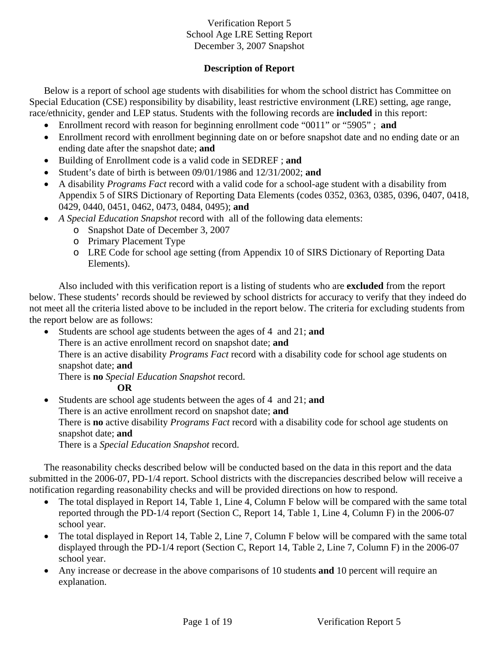# **Description of Report**

Below is a report of school age students with disabilities for whom the school district has Committee on Special Education (CSE) responsibility by disability, least restrictive environment (LRE) setting, age range, race/ethnicity, gender and LEP status. Students with the following records are **included** in this report:

- Enrollment record with reason for beginning enrollment code "0011" or "5905" ; **and**
- Enrollment record with enrollment beginning date on or before snapshot date and no ending date or an ending date after the snapshot date; **and**
- Building of Enrollment code is a valid code in SEDREF ; **and**
- Student's date of birth is between 09/01/1986 and 12/31/2002; **and**
- A disability *Programs Fact* record with a valid code for a school-age student with a disability from Appendix 5 of SIRS Dictionary of Reporting Data Elements (codes 0352, 0363, 0385, 0396, 0407, 0418, 0429, 0440, 0451, 0462, 0473, 0484, 0495); **and**
- *A Special Education Snapshot* record with all of the following data elements:
	- o Snapshot Date of December 3, 2007
	- o Primary Placement Type
	- o LRE Code for school age setting (from Appendix 10 of SIRS Dictionary of Reporting Data Elements).

Also included with this verification report is a listing of students who are **excluded** from the report below. These students' records should be reviewed by school districts for accuracy to verify that they indeed do not meet all the criteria listed above to be included in the report below. The criteria for excluding students from the report below are as follows:

• Students are school age students between the ages of 4 and 21; **and** There is an active enrollment record on snapshot date; **and**  There is an active disability *Programs Fact* record with a disability code for school age students on snapshot date; **and**  There is **no** *Special Education Snapshot* record.

**OR** 

• Students are school age students between the ages of 4 and 21; **and** There is an active enrollment record on snapshot date; **and** There is **no** active disability *Programs Fact* record with a disability code for school age students on snapshot date; **and**  There is a *Special Education Snapshot* record.

The reasonability checks described below will be conducted based on the data in this report and the data submitted in the 2006-07, PD-1/4 report. School districts with the discrepancies described below will receive a notification regarding reasonability checks and will be provided directions on how to respond.

- The total displayed in Report 14, Table 1, Line 4, Column F below will be compared with the same total reported through the PD-1/4 report (Section C, Report 14, Table 1, Line 4, Column F) in the 2006-07 school year.
- The total displayed in Report 14, Table 2, Line 7, Column F below will be compared with the same total displayed through the PD-1/4 report (Section C, Report 14, Table 2, Line 7, Column F) in the 2006-07 school year.
- Any increase or decrease in the above comparisons of 10 students **and** 10 percent will require an explanation.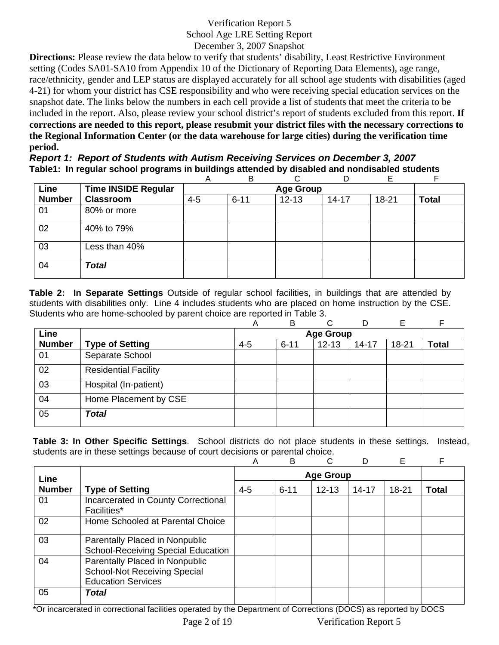**Directions:** Please review the data below to verify that students' disability, Least Restrictive Environment setting (Codes SA01-SA10 from Appendix 10 of the Dictionary of Reporting Data Elements), age range, race/ethnicity, gender and LEP status are displayed accurately for all school age students with disabilities (aged 4-21) for whom your district has CSE responsibility and who were receiving special education services on the snapshot date. The links below the numbers in each cell provide a list of students that meet the criteria to be included in the report. Also, please review your school district's report of students excluded from this report. **If corrections are needed to this report, please resubmit your district files with the necessary corrections to the Regional Information Center (or the data warehouse for large cities) during the verification time period.**

*Report 1: Report of Students with Autism Receiving Services on December 3, 2007* **Table1: In regular school programs in buildings attended by disabled and nondisabled students** 

|               |                            | Α       | B        | ⌒                |           | F     | F            |
|---------------|----------------------------|---------|----------|------------------|-----------|-------|--------------|
| Line          | <b>Time INSIDE Regular</b> |         |          | <b>Age Group</b> |           |       |              |
| <b>Number</b> | <b>Classroom</b>           | $4 - 5$ | $6 - 11$ | $12 - 13$        | $14 - 17$ | 18-21 | <b>Total</b> |
| 01            | 80% or more                |         |          |                  |           |       |              |
| 02            | 40% to 79%                 |         |          |                  |           |       |              |
| 03            | Less than 40%              |         |          |                  |           |       |              |
| 04            | <b>Total</b>               |         |          |                  |           |       |              |

**Table 2: In Separate Settings** Outside of regular school facilities, in buildings that are attended by students with disabilities only. Line 4 includes students who are placed on home instruction by the CSE. Students who are home-schooled by parent choice are reported in Table 3.

|               |                             | A       | B        | ⌒                | D         | E         |              |
|---------------|-----------------------------|---------|----------|------------------|-----------|-----------|--------------|
| Line          |                             |         |          | <b>Age Group</b> |           |           |              |
| <b>Number</b> | <b>Type of Setting</b>      | $4 - 5$ | $6 - 11$ | $12 - 13$        | $14 - 17$ | $18 - 21$ | <b>Total</b> |
| 01            | Separate School             |         |          |                  |           |           |              |
| 02            | <b>Residential Facility</b> |         |          |                  |           |           |              |
| 03            | Hospital (In-patient)       |         |          |                  |           |           |              |
| 04            | Home Placement by CSE       |         |          |                  |           |           |              |
| 05            | <b>Total</b>                |         |          |                  |           |           |              |

**Table 3: In Other Specific Settings**. School districts do not place students in these settings. Instead, students are in these settings because of court decisions or parental choice.

|               |                                                                                                    | A       | B        | C                |       | Е         | F            |
|---------------|----------------------------------------------------------------------------------------------------|---------|----------|------------------|-------|-----------|--------------|
| Line          |                                                                                                    |         |          | <b>Age Group</b> |       |           |              |
| <b>Number</b> | <b>Type of Setting</b>                                                                             | $4 - 5$ | $6 - 11$ | $12 - 13$        | 14-17 | $18 - 21$ | <b>Total</b> |
| 01            | Incarcerated in County Correctional<br>Facilities*                                                 |         |          |                  |       |           |              |
| 02            | Home Schooled at Parental Choice                                                                   |         |          |                  |       |           |              |
| 03            | Parentally Placed in Nonpublic<br><b>School-Receiving Special Education</b>                        |         |          |                  |       |           |              |
| 04            | Parentally Placed in Nonpublic<br><b>School-Not Receiving Special</b><br><b>Education Services</b> |         |          |                  |       |           |              |
| 05            | Total                                                                                              |         |          |                  |       |           |              |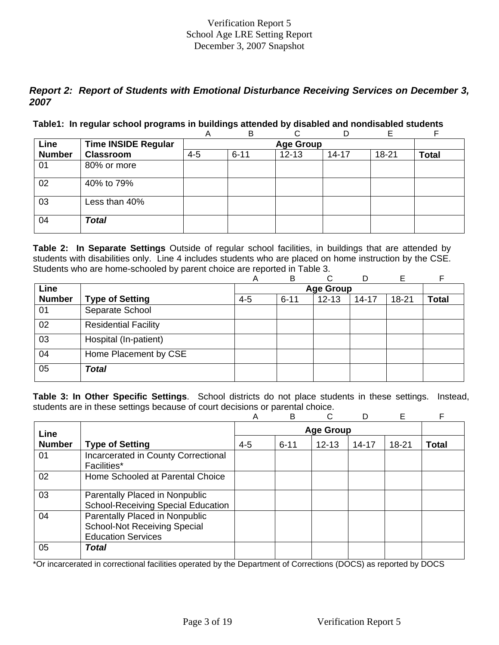# *Report 2: Report of Students with Emotional Disturbance Receiving Services on December 3, 2007*

#### **Table1: In regular school programs in buildings attended by disabled and nondisabled students**

|               |                            | Α       | B        |                  | D         | Е     |              |
|---------------|----------------------------|---------|----------|------------------|-----------|-------|--------------|
| Line          | <b>Time INSIDE Regular</b> |         |          | <b>Age Group</b> |           |       |              |
| <b>Number</b> | <b>Classroom</b>           | $4 - 5$ | $6 - 11$ | $12 - 13$        | $14 - 17$ | 18-21 | <b>Total</b> |
| 01            | 80% or more                |         |          |                  |           |       |              |
| 02            | 40% to 79%                 |         |          |                  |           |       |              |
| 03            | Less than 40%              |         |          |                  |           |       |              |
| 04            | <b>Total</b>               |         |          |                  |           |       |              |

**Table 2: In Separate Settings** Outside of regular school facilities, in buildings that are attended by students with disabilities only. Line 4 includes students who are placed on home instruction by the CSE. Students who are home-schooled by parent choice are reported in Table 3.

|               |                             | Α       | B        | C                | D         | E         |              |
|---------------|-----------------------------|---------|----------|------------------|-----------|-----------|--------------|
| Line          |                             |         |          | <b>Age Group</b> |           |           |              |
| <b>Number</b> | <b>Type of Setting</b>      | $4 - 5$ | $6 - 11$ | $12 - 13$        | $14 - 17$ | $18 - 21$ | <b>Total</b> |
| 01            | Separate School             |         |          |                  |           |           |              |
| 02            | <b>Residential Facility</b> |         |          |                  |           |           |              |
| 03            | Hospital (In-patient)       |         |          |                  |           |           |              |
| 04            | Home Placement by CSE       |         |          |                  |           |           |              |
| 05            | <b>Total</b>                |         |          |                  |           |           |              |

**Table 3: In Other Specific Settings**. School districts do not place students in these settings. Instead, students are in these settings because of court decisions or parental choice.

|               |                                                                                                    | A       | B                | C         |       | E         | F     |  |  |
|---------------|----------------------------------------------------------------------------------------------------|---------|------------------|-----------|-------|-----------|-------|--|--|
| Line          |                                                                                                    |         | <b>Age Group</b> |           |       |           |       |  |  |
| <b>Number</b> | <b>Type of Setting</b>                                                                             | $4 - 5$ | $6 - 11$         | $12 - 13$ | 14-17 | $18 - 21$ | Total |  |  |
| 01            | Incarcerated in County Correctional<br><b>Facilities*</b>                                          |         |                  |           |       |           |       |  |  |
| 02            | Home Schooled at Parental Choice                                                                   |         |                  |           |       |           |       |  |  |
| 03            | Parentally Placed in Nonpublic<br><b>School-Receiving Special Education</b>                        |         |                  |           |       |           |       |  |  |
| 04            | Parentally Placed in Nonpublic<br><b>School-Not Receiving Special</b><br><b>Education Services</b> |         |                  |           |       |           |       |  |  |
| 05            | Total                                                                                              |         |                  |           |       |           |       |  |  |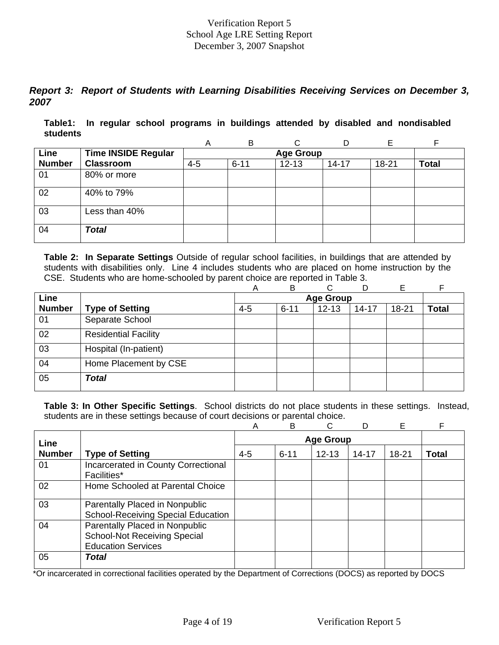# *Report 3: Report of Students with Learning Disabilities Receiving Services on December 3, 2007*

**Table1: In regular school programs in buildings attended by disabled and nondisabled students** 

|               |                            | A       | B                | ⌒         |           |       |              |  |  |  |  |  |
|---------------|----------------------------|---------|------------------|-----------|-----------|-------|--------------|--|--|--|--|--|
| Line          | <b>Time INSIDE Regular</b> |         | <b>Age Group</b> |           |           |       |              |  |  |  |  |  |
| <b>Number</b> | <b>Classroom</b>           | $4 - 5$ | $6 - 11$         | $12 - 13$ | $14 - 17$ | 18-21 | <b>Total</b> |  |  |  |  |  |
| 01            | 80% or more                |         |                  |           |           |       |              |  |  |  |  |  |
| 02            | 40% to 79%                 |         |                  |           |           |       |              |  |  |  |  |  |
| 03            | Less than 40%              |         |                  |           |           |       |              |  |  |  |  |  |
| 04            | <b>Total</b>               |         |                  |           |           |       |              |  |  |  |  |  |

**Table 2: In Separate Settings** Outside of regular school facilities, in buildings that are attended by students with disabilities only. Line 4 includes students who are placed on home instruction by the CSE. Students who are home-schooled by parent choice are reported in Table 3.

|               |                             | Α       | B        | C.               | D         | Е         |              |
|---------------|-----------------------------|---------|----------|------------------|-----------|-----------|--------------|
| Line          |                             |         |          | <b>Age Group</b> |           |           |              |
| <b>Number</b> | <b>Type of Setting</b>      | $4 - 5$ | $6 - 11$ | $12 - 13$        | $14 - 17$ | $18 - 21$ | <b>Total</b> |
| 01            | Separate School             |         |          |                  |           |           |              |
| 02            | <b>Residential Facility</b> |         |          |                  |           |           |              |
| 03            | Hospital (In-patient)       |         |          |                  |           |           |              |
| 04            | Home Placement by CSE       |         |          |                  |           |           |              |
| 05            | <b>Total</b>                |         |          |                  |           |           |              |

**Table 3: In Other Specific Settings**. School districts do not place students in these settings. Instead, students are in these settings because of court decisions or parental choice.

|               |                                                                                                    | Α       | B        | C                |           | E     | F            |
|---------------|----------------------------------------------------------------------------------------------------|---------|----------|------------------|-----------|-------|--------------|
| Line          |                                                                                                    |         |          | <b>Age Group</b> |           |       |              |
| <b>Number</b> | <b>Type of Setting</b>                                                                             | $4 - 5$ | $6 - 11$ | $12 - 13$        | $14 - 17$ | 18-21 | <b>Total</b> |
| 01            | Incarcerated in County Correctional<br><b>Facilities*</b>                                          |         |          |                  |           |       |              |
| 02            | Home Schooled at Parental Choice                                                                   |         |          |                  |           |       |              |
| 03            | Parentally Placed in Nonpublic<br><b>School-Receiving Special Education</b>                        |         |          |                  |           |       |              |
| 04            | Parentally Placed in Nonpublic<br><b>School-Not Receiving Special</b><br><b>Education Services</b> |         |          |                  |           |       |              |
| 05            | Total                                                                                              |         |          |                  |           |       |              |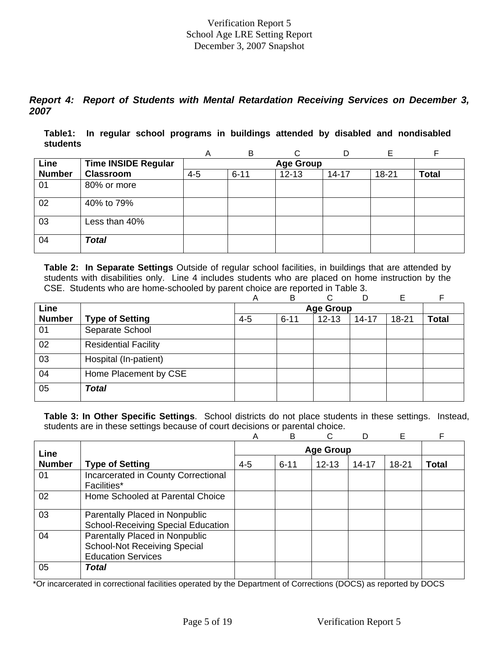*Report 4: Report of Students with Mental Retardation Receiving Services on December 3, 2007*

**Table1: In regular school programs in buildings attended by disabled and nondisabled students** 

|               |                            | A       | B                |           | D         | F         |              |  |  |  |  |  |
|---------------|----------------------------|---------|------------------|-----------|-----------|-----------|--------------|--|--|--|--|--|
| Line          | <b>Time INSIDE Regular</b> |         | <b>Age Group</b> |           |           |           |              |  |  |  |  |  |
| <b>Number</b> | <b>Classroom</b>           | $4 - 5$ | $6 - 11$         | $12 - 13$ | $14 - 17$ | $18 - 21$ | <b>Total</b> |  |  |  |  |  |
| 01            | 80% or more                |         |                  |           |           |           |              |  |  |  |  |  |
| 02            | 40% to 79%                 |         |                  |           |           |           |              |  |  |  |  |  |
| 03            | Less than 40%              |         |                  |           |           |           |              |  |  |  |  |  |
| 04            | <b>Total</b>               |         |                  |           |           |           |              |  |  |  |  |  |

**Table 2: In Separate Settings** Outside of regular school facilities, in buildings that are attended by students with disabilities only. Line 4 includes students who are placed on home instruction by the CSE. Students who are home-schooled by parent choice are reported in Table 3.

|               |                             | Α       | B        | ⌒                |           | Е         |              |
|---------------|-----------------------------|---------|----------|------------------|-----------|-----------|--------------|
| Line          |                             |         |          | <b>Age Group</b> |           |           |              |
| <b>Number</b> | <b>Type of Setting</b>      | $4 - 5$ | $6 - 11$ | $12 - 13$        | $14 - 17$ | $18 - 21$ | <b>Total</b> |
| 01            | Separate School             |         |          |                  |           |           |              |
| 02            | <b>Residential Facility</b> |         |          |                  |           |           |              |
| 03            | Hospital (In-patient)       |         |          |                  |           |           |              |
| 04            | Home Placement by CSE       |         |          |                  |           |           |              |
| 05            | <b>Total</b>                |         |          |                  |           |           |              |

**Table 3: In Other Specific Settings**. School districts do not place students in these settings. Instead, students are in these settings because of court decisions or parental choice.

|               |                                                                                                    | Α       | B        |                  |           | E     | F            |
|---------------|----------------------------------------------------------------------------------------------------|---------|----------|------------------|-----------|-------|--------------|
| Line          |                                                                                                    |         |          | <b>Age Group</b> |           |       |              |
| <b>Number</b> | <b>Type of Setting</b>                                                                             | $4 - 5$ | $6 - 11$ | $12 - 13$        | $14 - 17$ | 18-21 | <b>Total</b> |
| 01            | Incarcerated in County Correctional<br><b>Facilities*</b>                                          |         |          |                  |           |       |              |
| 02            | Home Schooled at Parental Choice                                                                   |         |          |                  |           |       |              |
| 03            | Parentally Placed in Nonpublic<br><b>School-Receiving Special Education</b>                        |         |          |                  |           |       |              |
| 04            | Parentally Placed in Nonpublic<br><b>School-Not Receiving Special</b><br><b>Education Services</b> |         |          |                  |           |       |              |
| 05            | Total                                                                                              |         |          |                  |           |       |              |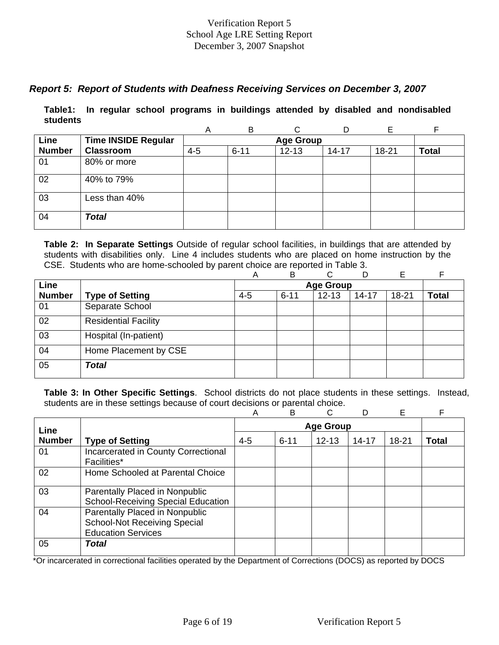# *Report 5: Report of Students with Deafness Receiving Services on December 3, 2007*

**Table1: In regular school programs in buildings attended by disabled and nondisabled students** 

|               |                            | Α       | B        | C                |           |       | F            |
|---------------|----------------------------|---------|----------|------------------|-----------|-------|--------------|
| Line          | <b>Time INSIDE Regular</b> |         |          | <b>Age Group</b> |           |       |              |
| <b>Number</b> | <b>Classroom</b>           | $4 - 5$ | $6 - 11$ | $12 - 13$        | $14 - 17$ | 18-21 | <b>Total</b> |
| 01            | 80% or more                |         |          |                  |           |       |              |
| 02            | 40% to 79%                 |         |          |                  |           |       |              |
| 03            | Less than 40%              |         |          |                  |           |       |              |
| 04            | <b>Total</b>               |         |          |                  |           |       |              |

**Table 2: In Separate Settings** Outside of regular school facilities, in buildings that are attended by students with disabilities only. Line 4 includes students who are placed on home instruction by the CSE. Students who are home-schooled by parent choice are reported in Table 3.

|               |                             | Α       | B        | ⌒                | D         | E         | E            |
|---------------|-----------------------------|---------|----------|------------------|-----------|-----------|--------------|
| Line          |                             |         |          | <b>Age Group</b> |           |           |              |
| <b>Number</b> | <b>Type of Setting</b>      | $4 - 5$ | $6 - 11$ | $12 - 13$        | $14 - 17$ | $18 - 21$ | <b>Total</b> |
| 01            | Separate School             |         |          |                  |           |           |              |
| 02            | <b>Residential Facility</b> |         |          |                  |           |           |              |
| 03            | Hospital (In-patient)       |         |          |                  |           |           |              |
| 04            | Home Placement by CSE       |         |          |                  |           |           |              |
| 05            | <b>Total</b>                |         |          |                  |           |           |              |

**Table 3: In Other Specific Settings**. School districts do not place students in these settings. Instead, students are in these settings because of court decisions or parental choice.

|               |                                                                                                    | Α       | B        |                  |           | Е         | F            |
|---------------|----------------------------------------------------------------------------------------------------|---------|----------|------------------|-----------|-----------|--------------|
| Line          |                                                                                                    |         |          | <b>Age Group</b> |           |           |              |
| <b>Number</b> | <b>Type of Setting</b>                                                                             | $4 - 5$ | $6 - 11$ | $12 - 13$        | $14 - 17$ | $18 - 21$ | <b>Total</b> |
| 01            | Incarcerated in County Correctional<br>Facilities*                                                 |         |          |                  |           |           |              |
| 02            | Home Schooled at Parental Choice                                                                   |         |          |                  |           |           |              |
| 03            | Parentally Placed in Nonpublic<br><b>School-Receiving Special Education</b>                        |         |          |                  |           |           |              |
| 04            | Parentally Placed in Nonpublic<br><b>School-Not Receiving Special</b><br><b>Education Services</b> |         |          |                  |           |           |              |
| 05            | Total                                                                                              |         |          |                  |           |           |              |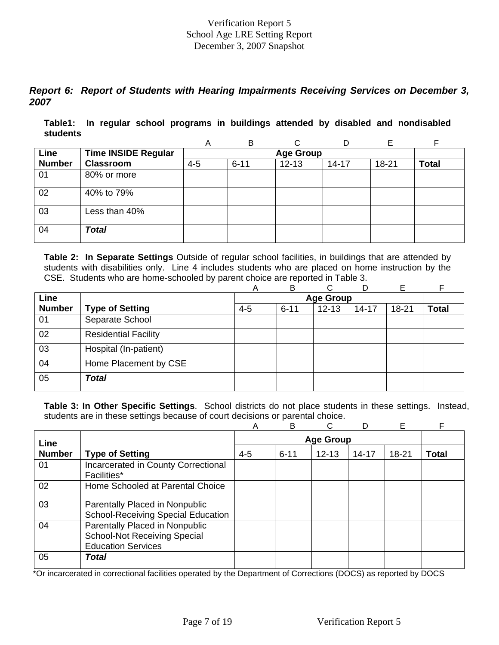# *Report 6: Report of Students with Hearing Impairments Receiving Services on December 3, 2007*

**Table1: In regular school programs in buildings attended by disabled and nondisabled students** 

|               |                            | A       | B                | ⌒         |           |       |              |  |  |  |  |  |
|---------------|----------------------------|---------|------------------|-----------|-----------|-------|--------------|--|--|--|--|--|
| Line          | <b>Time INSIDE Regular</b> |         | <b>Age Group</b> |           |           |       |              |  |  |  |  |  |
| <b>Number</b> | <b>Classroom</b>           | $4 - 5$ | $6 - 11$         | $12 - 13$ | $14 - 17$ | 18-21 | <b>Total</b> |  |  |  |  |  |
| 01            | 80% or more                |         |                  |           |           |       |              |  |  |  |  |  |
| 02            | 40% to 79%                 |         |                  |           |           |       |              |  |  |  |  |  |
| 03            | Less than 40%              |         |                  |           |           |       |              |  |  |  |  |  |
| 04            | <b>Total</b>               |         |                  |           |           |       |              |  |  |  |  |  |

**Table 2: In Separate Settings** Outside of regular school facilities, in buildings that are attended by students with disabilities only. Line 4 includes students who are placed on home instruction by the CSE. Students who are home-schooled by parent choice are reported in Table 3.

|               |                             | A       | B        | C                |           | Е         |       |
|---------------|-----------------------------|---------|----------|------------------|-----------|-----------|-------|
| Line          |                             |         |          | <b>Age Group</b> |           |           |       |
| <b>Number</b> | <b>Type of Setting</b>      | $4 - 5$ | $6 - 11$ | $12 - 13$        | $14 - 17$ | $18 - 21$ | Total |
| 01            | Separate School             |         |          |                  |           |           |       |
| 02            | <b>Residential Facility</b> |         |          |                  |           |           |       |
| 03            | Hospital (In-patient)       |         |          |                  |           |           |       |
| 04            | Home Placement by CSE       |         |          |                  |           |           |       |
| 05            | Total                       |         |          |                  |           |           |       |

**Table 3: In Other Specific Settings**. School districts do not place students in these settings. Instead, students are in these settings because of court decisions or parental choice.

|               |                                                                                                    | А       | B        | C                |           | Е         |              |
|---------------|----------------------------------------------------------------------------------------------------|---------|----------|------------------|-----------|-----------|--------------|
| Line          |                                                                                                    |         |          | <b>Age Group</b> |           |           |              |
| <b>Number</b> | <b>Type of Setting</b>                                                                             | $4 - 5$ | $6 - 11$ | $12 - 13$        | $14 - 17$ | $18 - 21$ | <b>Total</b> |
| 01            | Incarcerated in County Correctional<br>Facilities*                                                 |         |          |                  |           |           |              |
| 02            | Home Schooled at Parental Choice                                                                   |         |          |                  |           |           |              |
| 03            | Parentally Placed in Nonpublic<br><b>School-Receiving Special Education</b>                        |         |          |                  |           |           |              |
| 04            | Parentally Placed in Nonpublic<br><b>School-Not Receiving Special</b><br><b>Education Services</b> |         |          |                  |           |           |              |
| 05            | Total                                                                                              |         |          |                  |           |           |              |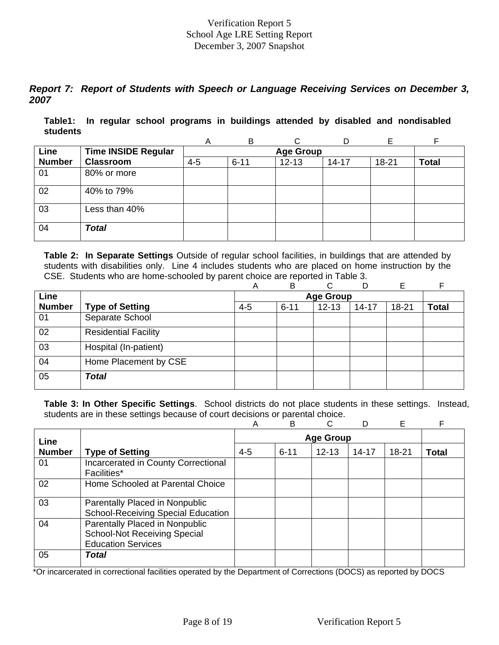# *Report 7: Report of Students with Speech or Language Receiving Services on December 3, 2007*

**Table1: In regular school programs in buildings attended by disabled and nondisabled students** 

|               |                            | А       | B        | ⌒                |           |       | E            |
|---------------|----------------------------|---------|----------|------------------|-----------|-------|--------------|
| Line          | <b>Time INSIDE Regular</b> |         |          | <b>Age Group</b> |           |       |              |
| <b>Number</b> | <b>Classroom</b>           | $4 - 5$ | $6 - 11$ | $12 - 13$        | $14 - 17$ | 18-21 | <b>Total</b> |
| 01            | 80% or more                |         |          |                  |           |       |              |
| 02            | 40% to 79%                 |         |          |                  |           |       |              |
| 03            | Less than 40%              |         |          |                  |           |       |              |
| 04            | <b>Total</b>               |         |          |                  |           |       |              |

**Table 2: In Separate Settings** Outside of regular school facilities, in buildings that are attended by students with disabilities only. Line 4 includes students who are placed on home instruction by the CSE. Students who are home-schooled by parent choice are reported in Table 3.

|               |                             | Α       | B        | C.               | D         | Е         |              |
|---------------|-----------------------------|---------|----------|------------------|-----------|-----------|--------------|
| Line          |                             |         |          | <b>Age Group</b> |           |           |              |
| <b>Number</b> | <b>Type of Setting</b>      | $4 - 5$ | $6 - 11$ | $12 - 13$        | $14 - 17$ | $18 - 21$ | <b>Total</b> |
| 01            | Separate School             |         |          |                  |           |           |              |
| 02            | <b>Residential Facility</b> |         |          |                  |           |           |              |
| 03            | Hospital (In-patient)       |         |          |                  |           |           |              |
| 04            | Home Placement by CSE       |         |          |                  |           |           |              |
| 05            | <b>Total</b>                |         |          |                  |           |           |              |

**Table 3: In Other Specific Settings**. School districts do not place students in these settings. Instead, students are in these settings because of court decisions or parental choice.

|               |                                                                                                    | Α       | B        | C                |           | Е         |              |
|---------------|----------------------------------------------------------------------------------------------------|---------|----------|------------------|-----------|-----------|--------------|
| Line          |                                                                                                    |         |          | <b>Age Group</b> |           |           |              |
| <b>Number</b> | <b>Type of Setting</b>                                                                             | $4 - 5$ | $6 - 11$ | $12 - 13$        | $14 - 17$ | $18 - 21$ | <b>Total</b> |
| 01            | Incarcerated in County Correctional<br>Facilities*                                                 |         |          |                  |           |           |              |
| 02            | Home Schooled at Parental Choice                                                                   |         |          |                  |           |           |              |
| 03            | Parentally Placed in Nonpublic<br><b>School-Receiving Special Education</b>                        |         |          |                  |           |           |              |
| 04            | Parentally Placed in Nonpublic<br><b>School-Not Receiving Special</b><br><b>Education Services</b> |         |          |                  |           |           |              |
| 05            | Total                                                                                              |         |          |                  |           |           |              |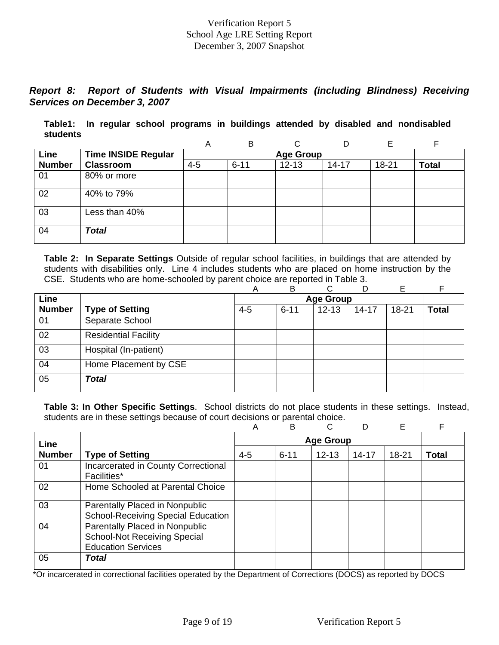# *Report 8: Report of Students with Visual Impairments (including Blindness) Receiving Services on December 3, 2007*

**Table1: In regular school programs in buildings attended by disabled and nondisabled students** 

|               |                            | A       | B                |           | D         | Е     |              |  |  |  |  |  |
|---------------|----------------------------|---------|------------------|-----------|-----------|-------|--------------|--|--|--|--|--|
| Line          | <b>Time INSIDE Regular</b> |         | <b>Age Group</b> |           |           |       |              |  |  |  |  |  |
| <b>Number</b> | <b>Classroom</b>           | $4 - 5$ | $6 - 11$         | $12 - 13$ | $14 - 17$ | 18-21 | <b>Total</b> |  |  |  |  |  |
| 01            | 80% or more                |         |                  |           |           |       |              |  |  |  |  |  |
| 02            | 40% to 79%                 |         |                  |           |           |       |              |  |  |  |  |  |
| 03            | Less than 40%              |         |                  |           |           |       |              |  |  |  |  |  |
| 04            | <b>Total</b>               |         |                  |           |           |       |              |  |  |  |  |  |

**Table 2: In Separate Settings** Outside of regular school facilities, in buildings that are attended by students with disabilities only. Line 4 includes students who are placed on home instruction by the CSE. Students who are home-schooled by parent choice are reported in Table 3.

|               |                             | Α       | B        | C.               | D         | Е         | F            |
|---------------|-----------------------------|---------|----------|------------------|-----------|-----------|--------------|
| Line          |                             |         |          | <b>Age Group</b> |           |           |              |
| <b>Number</b> | <b>Type of Setting</b>      | $4 - 5$ | $6 - 11$ | $12 - 13$        | $14 - 17$ | $18 - 21$ | <b>Total</b> |
| 01            | Separate School             |         |          |                  |           |           |              |
| 02            | <b>Residential Facility</b> |         |          |                  |           |           |              |
| 03            | Hospital (In-patient)       |         |          |                  |           |           |              |
| 04            | Home Placement by CSE       |         |          |                  |           |           |              |
| 05            | <b>Total</b>                |         |          |                  |           |           |              |

**Table 3: In Other Specific Settings**. School districts do not place students in these settings. Instead, students are in these settings because of court decisions or parental choice.

|               |                                                                                                    | Α       | B        | C.               |           | E         | F            |
|---------------|----------------------------------------------------------------------------------------------------|---------|----------|------------------|-----------|-----------|--------------|
| Line          |                                                                                                    |         |          | <b>Age Group</b> |           |           |              |
| <b>Number</b> | <b>Type of Setting</b>                                                                             | $4 - 5$ | $6 - 11$ | $12 - 13$        | $14 - 17$ | $18 - 21$ | <b>Total</b> |
| 01            | Incarcerated in County Correctional<br><b>Facilities*</b>                                          |         |          |                  |           |           |              |
| 02            | Home Schooled at Parental Choice                                                                   |         |          |                  |           |           |              |
| 03            | Parentally Placed in Nonpublic<br><b>School-Receiving Special Education</b>                        |         |          |                  |           |           |              |
| 04            | Parentally Placed in Nonpublic<br><b>School-Not Receiving Special</b><br><b>Education Services</b> |         |          |                  |           |           |              |
| 05            | Total                                                                                              |         |          |                  |           |           |              |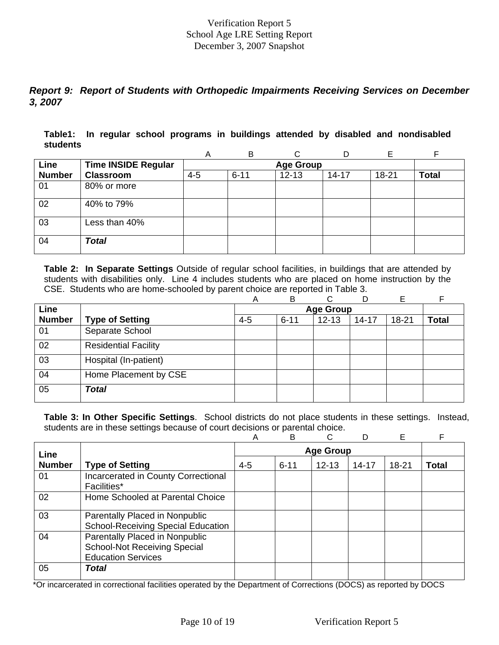# *Report 9: Report of Students with Orthopedic Impairments Receiving Services on December 3, 2007*

**Table1: In regular school programs in buildings attended by disabled and nondisabled students** 

|               |                            | A       | B                |           | D         | F         |              |  |  |  |  |  |
|---------------|----------------------------|---------|------------------|-----------|-----------|-----------|--------------|--|--|--|--|--|
| Line          | <b>Time INSIDE Regular</b> |         | <b>Age Group</b> |           |           |           |              |  |  |  |  |  |
| <b>Number</b> | <b>Classroom</b>           | $4 - 5$ | $6 - 11$         | $12 - 13$ | $14 - 17$ | $18 - 21$ | <b>Total</b> |  |  |  |  |  |
| 01            | 80% or more                |         |                  |           |           |           |              |  |  |  |  |  |
| 02            | 40% to 79%                 |         |                  |           |           |           |              |  |  |  |  |  |
| 03            | Less than 40%              |         |                  |           |           |           |              |  |  |  |  |  |
| 04            | <b>Total</b>               |         |                  |           |           |           |              |  |  |  |  |  |

**Table 2: In Separate Settings** Outside of regular school facilities, in buildings that are attended by students with disabilities only. Line 4 includes students who are placed on home instruction by the CSE. Students who are home-schooled by parent choice are reported in Table 3.

|               |                             | Α       | B        | ⌒                |           | E         |              |
|---------------|-----------------------------|---------|----------|------------------|-----------|-----------|--------------|
| Line          |                             |         |          | <b>Age Group</b> |           |           |              |
| <b>Number</b> | <b>Type of Setting</b>      | $4 - 5$ | $6 - 11$ | $12 - 13$        | $14 - 17$ | $18 - 21$ | <b>Total</b> |
| 01            | Separate School             |         |          |                  |           |           |              |
| 02            | <b>Residential Facility</b> |         |          |                  |           |           |              |
| 03            | Hospital (In-patient)       |         |          |                  |           |           |              |
| 04            | Home Placement by CSE       |         |          |                  |           |           |              |
| 05            | <b>Total</b>                |         |          |                  |           |           |              |

**Table 3: In Other Specific Settings**. School districts do not place students in these settings. Instead, students are in these settings because of court decisions or parental choice.

|               |                                                                                                    | Α       | B        | C                |           | Е         | F            |
|---------------|----------------------------------------------------------------------------------------------------|---------|----------|------------------|-----------|-----------|--------------|
| Line          |                                                                                                    |         |          | <b>Age Group</b> |           |           |              |
| <b>Number</b> | <b>Type of Setting</b>                                                                             | $4 - 5$ | $6 - 11$ | $12 - 13$        | $14 - 17$ | $18 - 21$ | <b>Total</b> |
| 01            | Incarcerated in County Correctional<br><b>Facilities*</b>                                          |         |          |                  |           |           |              |
| 02            | Home Schooled at Parental Choice                                                                   |         |          |                  |           |           |              |
| 03            | Parentally Placed in Nonpublic<br><b>School-Receiving Special Education</b>                        |         |          |                  |           |           |              |
| 04            | Parentally Placed in Nonpublic<br><b>School-Not Receiving Special</b><br><b>Education Services</b> |         |          |                  |           |           |              |
| 05            | <b>Total</b>                                                                                       |         |          |                  |           |           |              |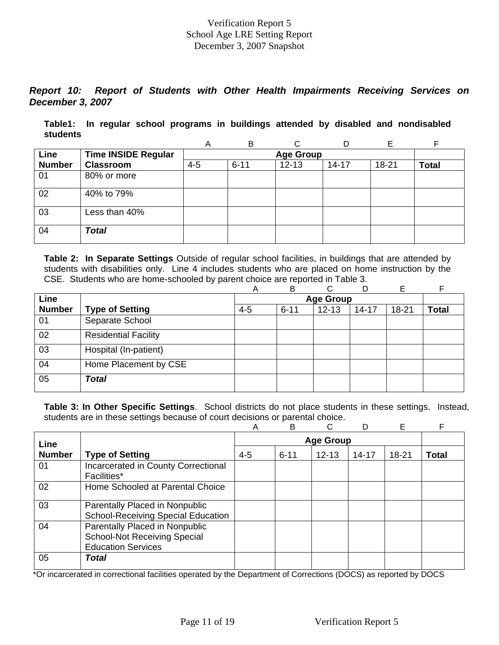# *Report 10: Report of Students with Other Health Impairments Receiving Services on December 3, 2007*

**Table1: In regular school programs in buildings attended by disabled and nondisabled students** 

|               |                            | A       | B                |           | D         | Е     |              |  |  |  |  |  |
|---------------|----------------------------|---------|------------------|-----------|-----------|-------|--------------|--|--|--|--|--|
| Line          | <b>Time INSIDE Regular</b> |         | <b>Age Group</b> |           |           |       |              |  |  |  |  |  |
| <b>Number</b> | <b>Classroom</b>           | $4 - 5$ | $6 - 11$         | $12 - 13$ | $14 - 17$ | 18-21 | <b>Total</b> |  |  |  |  |  |
| 01            | 80% or more                |         |                  |           |           |       |              |  |  |  |  |  |
| 02            | 40% to 79%                 |         |                  |           |           |       |              |  |  |  |  |  |
| 03            | Less than 40%              |         |                  |           |           |       |              |  |  |  |  |  |
| 04            | <b>Total</b>               |         |                  |           |           |       |              |  |  |  |  |  |

**Table 2: In Separate Settings** Outside of regular school facilities, in buildings that are attended by students with disabilities only. Line 4 includes students who are placed on home instruction by the CSE. Students who are home-schooled by parent choice are reported in Table 3.

|               |                             | Α       | B        | C.               | D         | Е         | F            |
|---------------|-----------------------------|---------|----------|------------------|-----------|-----------|--------------|
| Line          |                             |         |          | <b>Age Group</b> |           |           |              |
| <b>Number</b> | <b>Type of Setting</b>      | $4 - 5$ | $6 - 11$ | $12 - 13$        | $14 - 17$ | $18 - 21$ | <b>Total</b> |
| 01            | Separate School             |         |          |                  |           |           |              |
| 02            | <b>Residential Facility</b> |         |          |                  |           |           |              |
| 03            | Hospital (In-patient)       |         |          |                  |           |           |              |
| 04            | Home Placement by CSE       |         |          |                  |           |           |              |
| 05            | <b>Total</b>                |         |          |                  |           |           |              |

**Table 3: In Other Specific Settings**. School districts do not place students in these settings. Instead, students are in these settings because of court decisions or parental choice.

|               |                                                                                                    | Α       | B        | C.               |           | E         | F            |
|---------------|----------------------------------------------------------------------------------------------------|---------|----------|------------------|-----------|-----------|--------------|
| Line          |                                                                                                    |         |          | <b>Age Group</b> |           |           |              |
| <b>Number</b> | <b>Type of Setting</b>                                                                             | $4 - 5$ | $6 - 11$ | $12 - 13$        | $14 - 17$ | $18 - 21$ | <b>Total</b> |
| 01            | Incarcerated in County Correctional<br><b>Facilities*</b>                                          |         |          |                  |           |           |              |
| 02            | Home Schooled at Parental Choice                                                                   |         |          |                  |           |           |              |
| 03            | Parentally Placed in Nonpublic<br><b>School-Receiving Special Education</b>                        |         |          |                  |           |           |              |
| 04            | Parentally Placed in Nonpublic<br><b>School-Not Receiving Special</b><br><b>Education Services</b> |         |          |                  |           |           |              |
| 05            | Total                                                                                              |         |          |                  |           |           |              |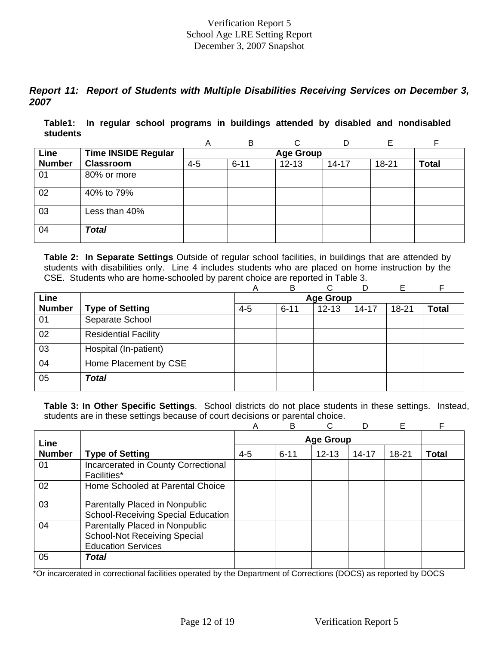# *Report 11: Report of Students with Multiple Disabilities Receiving Services on December 3, 2007*

**Table1: In regular school programs in buildings attended by disabled and nondisabled students** 

|               |                            | A       | B                | ⌒         |           |       |              |  |  |  |  |  |
|---------------|----------------------------|---------|------------------|-----------|-----------|-------|--------------|--|--|--|--|--|
| Line          | <b>Time INSIDE Regular</b> |         | <b>Age Group</b> |           |           |       |              |  |  |  |  |  |
| <b>Number</b> | <b>Classroom</b>           | $4 - 5$ | $6 - 11$         | $12 - 13$ | $14 - 17$ | 18-21 | <b>Total</b> |  |  |  |  |  |
| 01            | 80% or more                |         |                  |           |           |       |              |  |  |  |  |  |
| 02            | 40% to 79%                 |         |                  |           |           |       |              |  |  |  |  |  |
| 03            | Less than 40%              |         |                  |           |           |       |              |  |  |  |  |  |
| 04            | <b>Total</b>               |         |                  |           |           |       |              |  |  |  |  |  |

**Table 2: In Separate Settings** Outside of regular school facilities, in buildings that are attended by students with disabilities only. Line 4 includes students who are placed on home instruction by the CSE. Students who are home-schooled by parent choice are reported in Table 3.

|               |                             | Α       | B        | C.               | D         | Е         | E            |
|---------------|-----------------------------|---------|----------|------------------|-----------|-----------|--------------|
| Line          |                             |         |          | <b>Age Group</b> |           |           |              |
| <b>Number</b> | <b>Type of Setting</b>      | $4 - 5$ | $6 - 11$ | $12 - 13$        | $14 - 17$ | $18 - 21$ | <b>Total</b> |
| 01            | Separate School             |         |          |                  |           |           |              |
| 02            | <b>Residential Facility</b> |         |          |                  |           |           |              |
| 03            | Hospital (In-patient)       |         |          |                  |           |           |              |
| 04            | Home Placement by CSE       |         |          |                  |           |           |              |
| 05            | Total                       |         |          |                  |           |           |              |

**Table 3: In Other Specific Settings**. School districts do not place students in these settings. Instead, students are in these settings because of court decisions or parental choice.

|               |                                                                                                    | Α       | B        | C                |           | E     | F            |
|---------------|----------------------------------------------------------------------------------------------------|---------|----------|------------------|-----------|-------|--------------|
| Line          |                                                                                                    |         |          | <b>Age Group</b> |           |       |              |
| <b>Number</b> | <b>Type of Setting</b>                                                                             | $4 - 5$ | $6 - 11$ | $12 - 13$        | $14 - 17$ | 18-21 | <b>Total</b> |
| 01            | Incarcerated in County Correctional<br><b>Facilities*</b>                                          |         |          |                  |           |       |              |
| 02            | Home Schooled at Parental Choice                                                                   |         |          |                  |           |       |              |
| 03            | Parentally Placed in Nonpublic<br><b>School-Receiving Special Education</b>                        |         |          |                  |           |       |              |
| 04            | Parentally Placed in Nonpublic<br><b>School-Not Receiving Special</b><br><b>Education Services</b> |         |          |                  |           |       |              |
| 05            | Total                                                                                              |         |          |                  |           |       |              |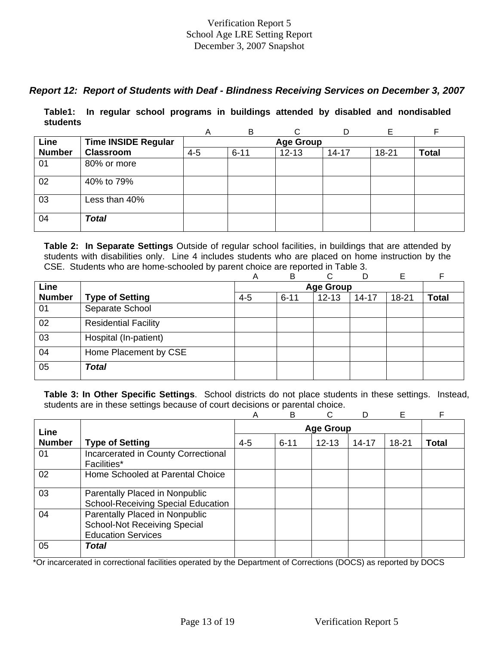# *Report 12: Report of Students with Deaf - Blindness Receiving Services on December 3, 2007*

**Table1: In regular school programs in buildings attended by disabled and nondisabled students** 

|               |                            | Α       | B        |                  | D         | Е     |              |
|---------------|----------------------------|---------|----------|------------------|-----------|-------|--------------|
| Line          | <b>Time INSIDE Regular</b> |         |          | <b>Age Group</b> |           |       |              |
| <b>Number</b> | <b>Classroom</b>           | $4 - 5$ | $6 - 11$ | $12 - 13$        | $14 - 17$ | 18-21 | <b>Total</b> |
| 01            | 80% or more                |         |          |                  |           |       |              |
| 02            | 40% to 79%                 |         |          |                  |           |       |              |
| 03            | Less than 40%              |         |          |                  |           |       |              |
| 04            | <b>Total</b>               |         |          |                  |           |       |              |

**Table 2: In Separate Settings** Outside of regular school facilities, in buildings that are attended by students with disabilities only. Line 4 includes students who are placed on home instruction by the CSE. Students who are home-schooled by parent choice are reported in Table 3.

|               |                             | Α       | в        | ⌒                | D         | E     |              |
|---------------|-----------------------------|---------|----------|------------------|-----------|-------|--------------|
| Line          |                             |         |          | <b>Age Group</b> |           |       |              |
| <b>Number</b> | <b>Type of Setting</b>      | $4 - 5$ | $6 - 11$ | $12 - 13$        | $14 - 17$ | 18-21 | <b>Total</b> |
| 01            | Separate School             |         |          |                  |           |       |              |
| 02            | <b>Residential Facility</b> |         |          |                  |           |       |              |
| 03            | Hospital (In-patient)       |         |          |                  |           |       |              |
| 04            | Home Placement by CSE       |         |          |                  |           |       |              |
| 05            | <b>Total</b>                |         |          |                  |           |       |              |

**Table 3: In Other Specific Settings**. School districts do not place students in these settings. Instead, students are in these settings because of court decisions or parental choice.

|               |                                           | Α       | B                | C         | D         | Е     |       |  |  |
|---------------|-------------------------------------------|---------|------------------|-----------|-----------|-------|-------|--|--|
| Line          |                                           |         | <b>Age Group</b> |           |           |       |       |  |  |
| <b>Number</b> | <b>Type of Setting</b>                    | $4 - 5$ | $6 - 11$         | $12 - 13$ | $14 - 17$ | 18-21 | Total |  |  |
| 01            | Incarcerated in County Correctional       |         |                  |           |           |       |       |  |  |
|               | Facilities*                               |         |                  |           |           |       |       |  |  |
| 02            | Home Schooled at Parental Choice          |         |                  |           |           |       |       |  |  |
| 03            | Parentally Placed in Nonpublic            |         |                  |           |           |       |       |  |  |
|               | <b>School-Receiving Special Education</b> |         |                  |           |           |       |       |  |  |
| 04            | Parentally Placed in Nonpublic            |         |                  |           |           |       |       |  |  |
|               | <b>School-Not Receiving Special</b>       |         |                  |           |           |       |       |  |  |
|               | <b>Education Services</b>                 |         |                  |           |           |       |       |  |  |
| 05            | Total                                     |         |                  |           |           |       |       |  |  |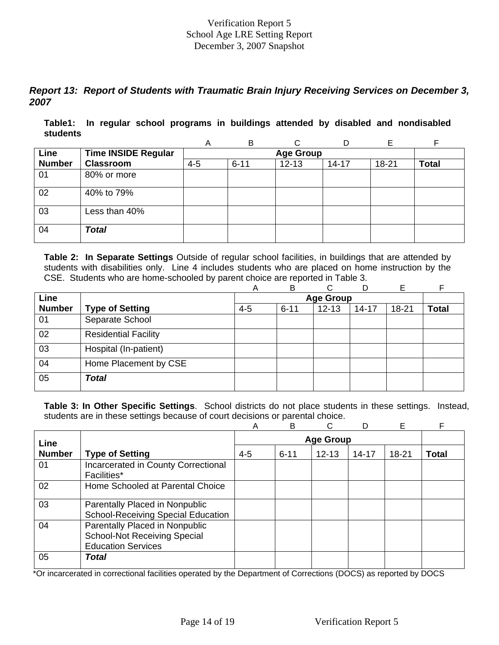# *Report 13: Report of Students with Traumatic Brain Injury Receiving Services on December 3, 2007*

**Table1: In regular school programs in buildings attended by disabled and nondisabled students** 

|               |                            | A       | B                | ⌒         |           |       |              |  |  |  |  |
|---------------|----------------------------|---------|------------------|-----------|-----------|-------|--------------|--|--|--|--|
| Line          | <b>Time INSIDE Regular</b> |         | <b>Age Group</b> |           |           |       |              |  |  |  |  |
| <b>Number</b> | <b>Classroom</b>           | $4 - 5$ | $6 - 11$         | $12 - 13$ | $14 - 17$ | 18-21 | <b>Total</b> |  |  |  |  |
| 01            | 80% or more                |         |                  |           |           |       |              |  |  |  |  |
| 02            | 40% to 79%                 |         |                  |           |           |       |              |  |  |  |  |
| 03            | Less than 40%              |         |                  |           |           |       |              |  |  |  |  |
| 04            | <b>Total</b>               |         |                  |           |           |       |              |  |  |  |  |

**Table 2: In Separate Settings** Outside of regular school facilities, in buildings that are attended by students with disabilities only. Line 4 includes students who are placed on home instruction by the CSE. Students who are home-schooled by parent choice are reported in Table 3.

|               |                             | Α       | B        | C.               | D         | Е         |              |
|---------------|-----------------------------|---------|----------|------------------|-----------|-----------|--------------|
| Line          |                             |         |          | <b>Age Group</b> |           |           |              |
| <b>Number</b> | <b>Type of Setting</b>      | $4 - 5$ | $6 - 11$ | $12 - 13$        | $14 - 17$ | $18 - 21$ | <b>Total</b> |
| 01            | Separate School             |         |          |                  |           |           |              |
| 02            | <b>Residential Facility</b> |         |          |                  |           |           |              |
| 03            | Hospital (In-patient)       |         |          |                  |           |           |              |
| 04            | Home Placement by CSE       |         |          |                  |           |           |              |
| 05            | <b>Total</b>                |         |          |                  |           |           |              |

**Table 3: In Other Specific Settings**. School districts do not place students in these settings. Instead, students are in these settings because of court decisions or parental choice.

|               |                                                                                                    | А       | B        | C                |           | Е         |              |
|---------------|----------------------------------------------------------------------------------------------------|---------|----------|------------------|-----------|-----------|--------------|
| Line          |                                                                                                    |         |          | <b>Age Group</b> |           |           |              |
| <b>Number</b> | <b>Type of Setting</b>                                                                             | $4 - 5$ | $6 - 11$ | $12 - 13$        | $14 - 17$ | $18 - 21$ | <b>Total</b> |
| 01            | Incarcerated in County Correctional<br>Facilities*                                                 |         |          |                  |           |           |              |
| 02            | Home Schooled at Parental Choice                                                                   |         |          |                  |           |           |              |
| 03            | Parentally Placed in Nonpublic<br><b>School-Receiving Special Education</b>                        |         |          |                  |           |           |              |
| 04            | Parentally Placed in Nonpublic<br><b>School-Not Receiving Special</b><br><b>Education Services</b> |         |          |                  |           |           |              |
| 05            | Total                                                                                              |         |          |                  |           |           |              |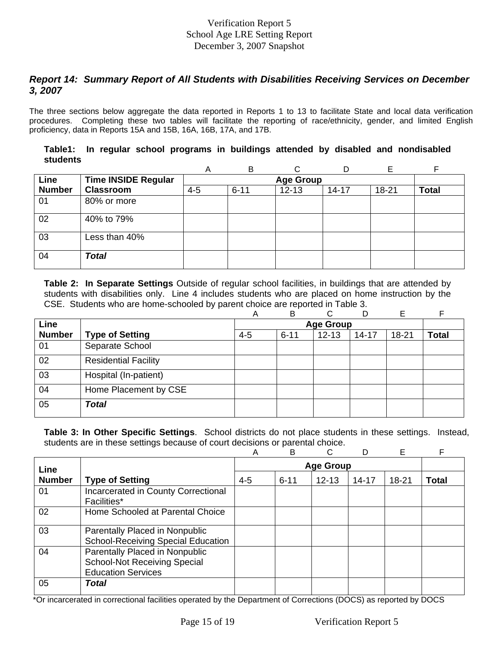# *Report 14: Summary Report of All Students with Disabilities Receiving Services on December 3, 2007*

The three sections below aggregate the data reported in Reports 1 to 13 to facilitate State and local data verification procedures. Completing these two tables will facilitate the reporting of race/ethnicity, gender, and limited English proficiency, data in Reports 15A and 15B, 16A, 16B, 17A, and 17B.

|          |  |  |  |  |  | Table1: In regular school programs in buildings attended by disabled and nondisabled |
|----------|--|--|--|--|--|--------------------------------------------------------------------------------------|
| students |  |  |  |  |  |                                                                                      |

|               |                            | Α       | B                | $\sim$    |           |       | Е            |  |  |  |  |
|---------------|----------------------------|---------|------------------|-----------|-----------|-------|--------------|--|--|--|--|
| Line          | <b>Time INSIDE Regular</b> |         | <b>Age Group</b> |           |           |       |              |  |  |  |  |
| <b>Number</b> | <b>Classroom</b>           | $4 - 5$ | $6 - 11$         | $12 - 13$ | $14 - 17$ | 18-21 | <b>Total</b> |  |  |  |  |
| 01            | 80% or more                |         |                  |           |           |       |              |  |  |  |  |
| 02            | 40% to 79%                 |         |                  |           |           |       |              |  |  |  |  |
| 03            | Less than 40%              |         |                  |           |           |       |              |  |  |  |  |
| 04            | <b>Total</b>               |         |                  |           |           |       |              |  |  |  |  |

**Table 2: In Separate Settings** Outside of regular school facilities, in buildings that are attended by students with disabilities only. Line 4 includes students who are placed on home instruction by the CSE. Students who are home-schooled by parent choice are reported in Table 3.

|               |                             | Α       | В                | ⌒         | D         | Е         |              |  |  |
|---------------|-----------------------------|---------|------------------|-----------|-----------|-----------|--------------|--|--|
| Line          |                             |         | <b>Age Group</b> |           |           |           |              |  |  |
| <b>Number</b> | <b>Type of Setting</b>      | $4 - 5$ | $6 - 11$         | $12 - 13$ | $14 - 17$ | $18 - 21$ | <b>Total</b> |  |  |
| 01            | Separate School             |         |                  |           |           |           |              |  |  |
| 02            | <b>Residential Facility</b> |         |                  |           |           |           |              |  |  |
| 03            | Hospital (In-patient)       |         |                  |           |           |           |              |  |  |
| 04            | Home Placement by CSE       |         |                  |           |           |           |              |  |  |
| 05            | <b>Total</b>                |         |                  |           |           |           |              |  |  |

**Table 3: In Other Specific Settings**. School districts do not place students in these settings. Instead, students are in these settings because of court decisions or parental choice.

|               |                                                                                                    | Α       | B                | C         |           | Е         | F            |  |
|---------------|----------------------------------------------------------------------------------------------------|---------|------------------|-----------|-----------|-----------|--------------|--|
| Line          |                                                                                                    |         | <b>Age Group</b> |           |           |           |              |  |
| <b>Number</b> | <b>Type of Setting</b>                                                                             | $4 - 5$ | $6 - 11$         | $12 - 13$ | $14 - 17$ | $18 - 21$ | <b>Total</b> |  |
| 01            | Incarcerated in County Correctional<br>Facilities*                                                 |         |                  |           |           |           |              |  |
| 02            | Home Schooled at Parental Choice                                                                   |         |                  |           |           |           |              |  |
| 03            | Parentally Placed in Nonpublic<br><b>School-Receiving Special Education</b>                        |         |                  |           |           |           |              |  |
| 04            | Parentally Placed in Nonpublic<br><b>School-Not Receiving Special</b><br><b>Education Services</b> |         |                  |           |           |           |              |  |
| 05            | <b>Total</b>                                                                                       |         |                  |           |           |           |              |  |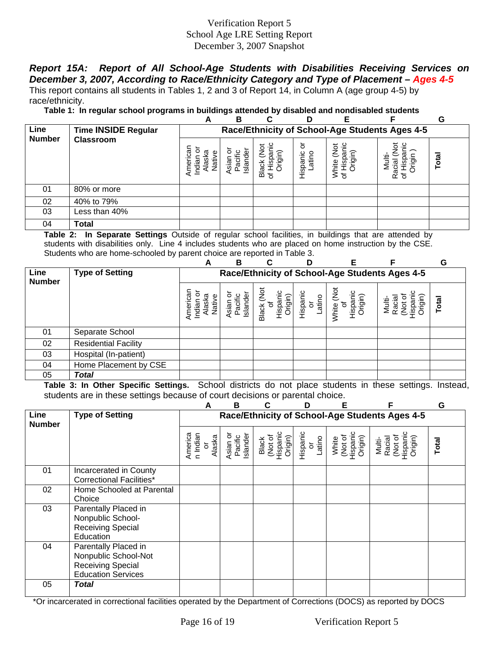# *Report 15A: Report of All School-Age Students with Disabilities Receiving Services on December 3, 2007, According to Race/Ethnicity Category and Type of Placement – Ages 4-5*

This report contains all students in Tables 1, 2 and 3 of Report 14, in Column A (age group 4-5) by race/ethnicity.

**Table 1: In regular school programs in buildings attended by disabled and nondisabled students** 

|               |                            | A                                                            | B                                | r                                         | D                      | Е                                                         |                                                | G     |
|---------------|----------------------------|--------------------------------------------------------------|----------------------------------|-------------------------------------------|------------------------|-----------------------------------------------------------|------------------------------------------------|-------|
| Line          | <b>Time INSIDE Regular</b> |                                                              |                                  |                                           |                        |                                                           | Race/Ethnicity of School-Age Students Ages 4-5 |       |
| <b>Number</b> | <b>Classroom</b>           | Americar<br>ζŪ.<br>Ξ<br><b>Jati</b><br>las<br>$\overline{E}$ | Islande<br><b>Vsian</b><br>Pacif | ⇁<br><u>isp</u><br>த<br><b>Black</b><br>৳ | ১<br>Hispanic<br>atino | ≅.<br>$\frac{5}{2}$<br>ispar<br>igin)<br>White<br>of Hisp | ö<br><u>ු</u><br>O)<br>त्व<br>Raci<br>৳        | Total |
| 01            | 80% or more                |                                                              |                                  |                                           |                        |                                                           |                                                |       |
| 02            | 40% to 79%                 |                                                              |                                  |                                           |                        |                                                           |                                                |       |
| 03            | Less than 40%              |                                                              |                                  |                                           |                        |                                                           |                                                |       |
| 04            | Total                      |                                                              |                                  |                                           |                        |                                                           |                                                |       |

**Table 2: In Separate Settings** Outside of regular school facilities, in buildings that are attended by students with disabilities only. Line 4 includes students who are placed on home instruction by the CSE. Students who are home-schooled by parent choice are reported in Table 3.

|                       |                             | A                             | B                                              | C                                                              |                                     | F                                                        |                                              | G     |  |  |
|-----------------------|-----------------------------|-------------------------------|------------------------------------------------|----------------------------------------------------------------|-------------------------------------|----------------------------------------------------------|----------------------------------------------|-------|--|--|
| Line<br><b>Number</b> | <b>Type of Setting</b>      |                               | Race/Ethnicity of School-Age Students Ages 4-5 |                                                                |                                     |                                                          |                                              |       |  |  |
|                       |                             | Native<br>iasi<br>Indiar<br>₫ | Island<br>Pacif<br>sian                        | $\mathop{\rm det}\nolimits$<br>(uipjx<br>ispar<br><b>Black</b> | Hispanic<br>atino<br>$\overline{5}$ | White (Not<br>Hispanic<br>Origin)<br>$\overline{\sigma}$ | Racia<br>Multi-<br>Drigir<br><b>Z</b><br>Sea | Total |  |  |
| 01                    | Separate School             |                               |                                                |                                                                |                                     |                                                          |                                              |       |  |  |
| 02                    | <b>Residential Facility</b> |                               |                                                |                                                                |                                     |                                                          |                                              |       |  |  |
| 03                    | Hospital (In-patient)       |                               |                                                |                                                                |                                     |                                                          |                                              |       |  |  |
| 04                    | Home Placement by CSE       |                               |                                                |                                                                |                                     |                                                          |                                              |       |  |  |
| 05                    | <b>Total</b>                |                               |                                                |                                                                |                                     |                                                          |                                              |       |  |  |

**Table 3: In Other Specific Settings.** School districts do not place students in these settings. Instead, students are in these settings because of court decisions or parental choice.

|                       |                                                                                                       | А                                                    | в                               |                                         | D                        | F                                       | F                                                  | G     |
|-----------------------|-------------------------------------------------------------------------------------------------------|------------------------------------------------------|---------------------------------|-----------------------------------------|--------------------------|-----------------------------------------|----------------------------------------------------|-------|
| Line<br><b>Number</b> | <b>Type of Setting</b>                                                                                |                                                      |                                 |                                         |                          |                                         | Race/Ethnicity of School-Age Students Ages 4-5     |       |
|                       |                                                                                                       | America<br>n Indian<br>Alaska<br>$\overline{\sigma}$ | Pacific<br>Islander<br>Asian or | Black<br>(Not of<br>Hispanic<br>Origin) | Hispanic<br>or<br>Latino | White<br>(Not of<br>Hispanic<br>Origin) | (Not of<br>Hispanic<br>Origin)<br>Multi-<br>Racial | Total |
| 01                    | Incarcerated in County<br><b>Correctional Facilities*</b>                                             |                                                      |                                 |                                         |                          |                                         |                                                    |       |
| 02                    | Home Schooled at Parental<br>Choice                                                                   |                                                      |                                 |                                         |                          |                                         |                                                    |       |
| 03                    | Parentally Placed in<br>Nonpublic School-<br>Receiving Special<br>Education                           |                                                      |                                 |                                         |                          |                                         |                                                    |       |
| 04                    | Parentally Placed in<br>Nonpublic School-Not<br><b>Receiving Special</b><br><b>Education Services</b> |                                                      |                                 |                                         |                          |                                         |                                                    |       |
| 05                    | <b>Total</b>                                                                                          |                                                      |                                 |                                         |                          |                                         |                                                    |       |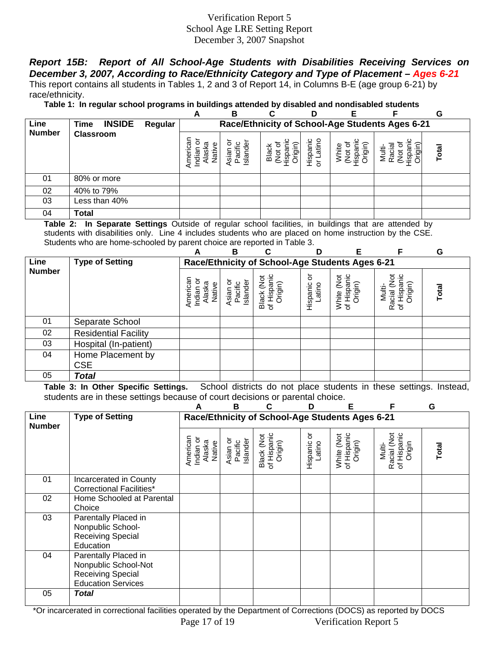*Report 15B: Report of All School-Age Students with Disabilities Receiving Services on December 3, 2007, According to Race/Ethnicity Category and Type of Placement – Ages 6-21* This report contains all students in Tables 1, 2 and 3 of Report 14, in Columns B-E (age group 6-21) by race/ethnicity.

**Table 1: In regular school programs in buildings attended by disabled and nondisabled students** 

|                                                                                                              |                  |  | A                                                                | в                                 | С                | D                     |                                    |                      | G     |
|--------------------------------------------------------------------------------------------------------------|------------------|--|------------------------------------------------------------------|-----------------------------------|------------------|-----------------------|------------------------------------|----------------------|-------|
| Line<br>Race/Ethnicity of School-Age Students Ages 6-21<br><b>INSIDE</b><br>Time<br>Regular<br><b>Number</b> |                  |  |                                                                  |                                   |                  |                       |                                    |                      |       |
|                                                                                                              | <b>Classroom</b> |  | ទូ<br>σσ<br><u>as</u><br>ja<br>P<br>$\bar{\mathfrak{G}}$<br>Amer | Islander<br><b>Asian</b><br>Pacif | )rigin)<br>Black | atino<br>Hispani<br>১ | Origin)<br>e#ir<br>ğ<br><u>isi</u> | Multi<br>Racia<br>्ध | Total |
| 01                                                                                                           | 80% or more      |  |                                                                  |                                   |                  |                       |                                    |                      |       |
| 02                                                                                                           | 40% to 79%       |  |                                                                  |                                   |                  |                       |                                    |                      |       |
| 03                                                                                                           | Less than 40%    |  |                                                                  |                                   |                  |                       |                                    |                      |       |
| 04                                                                                                           | <b>Total</b>     |  |                                                                  |                                   |                  |                       |                                    |                      |       |

**Table 2: In Separate Settings** Outside of regular school facilities, in buildings that are attended by students with disabilities only. Line 4 includes students who are placed on home instruction by the CSE. Students who are home-schooled by parent choice are reported in Table 3.

|               |                                 | А                                         | B                                    |                                                 | ח                       | E                                    | F                                               | G     |
|---------------|---------------------------------|-------------------------------------------|--------------------------------------|-------------------------------------------------|-------------------------|--------------------------------------|-------------------------------------------------|-------|
| Line          | <b>Type of Setting</b>          |                                           |                                      | Race/Ethnicity of School-Age Students Ages 6-21 |                         |                                      |                                                 |       |
| <b>Number</b> |                                 | American<br>Indian or<br>Alaska<br>Native | ō<br>Islander<br>Asian or<br>Pacific | Black (Not<br>of Hispanic<br>Origin)            | ŏ<br>Hispanic<br>Latino | White (Not<br>of Hispanic<br>Origin) | Racial (Not<br>of Hispanic<br>Origin)<br>Multi- | Total |
| 01            | Separate School                 |                                           |                                      |                                                 |                         |                                      |                                                 |       |
| 02            | <b>Residential Facility</b>     |                                           |                                      |                                                 |                         |                                      |                                                 |       |
| 03            | Hospital (In-patient)           |                                           |                                      |                                                 |                         |                                      |                                                 |       |
| 04            | Home Placement by<br><b>CSE</b> |                                           |                                      |                                                 |                         |                                      |                                                 |       |
| 05            | <b>Total</b>                    |                                           |                                      |                                                 |                         |                                      |                                                 |       |

**Table 3: In Other Specific Settings.** School districts do not place students in these settings. Instead, students are in these settings because of court decisions or parental choice.

|                       |                                                                                                       | А                                         | B                               |                                                 | D                       | Е                                    | F                                              | G                             |
|-----------------------|-------------------------------------------------------------------------------------------------------|-------------------------------------------|---------------------------------|-------------------------------------------------|-------------------------|--------------------------------------|------------------------------------------------|-------------------------------|
| Line<br><b>Number</b> | <b>Type of Setting</b>                                                                                |                                           |                                 | Race/Ethnicity of School-Age Students Ages 6-21 |                         |                                      |                                                |                               |
|                       |                                                                                                       | American<br>Indian or<br>Alaska<br>Native | Asian or<br>Pacific<br>Islander | Black (Not<br>of Hispanic<br>Origin)            | ŏ<br>Hispanic<br>Latino | of Hispanic<br>White (Not<br>Origin) | Racial (Not<br>of Hispanic<br>Origin<br>Multi- | Total                         |
| 01                    | Incarcerated in County<br><b>Correctional Facilities*</b>                                             |                                           |                                 |                                                 |                         |                                      |                                                |                               |
| 02                    | Home Schooled at Parental<br>Choice                                                                   |                                           |                                 |                                                 |                         |                                      |                                                |                               |
| 03                    | Parentally Placed in<br>Nonpublic School-<br><b>Receiving Special</b><br>Education                    |                                           |                                 |                                                 |                         |                                      |                                                |                               |
| 04                    | Parentally Placed in<br>Nonpublic School-Not<br><b>Receiving Special</b><br><b>Education Services</b> |                                           |                                 |                                                 |                         |                                      |                                                |                               |
| 05<br>$\sim$ $\sim$   | <b>Total</b><br>$\sim$ $\sim$ $\sim$<br>$\sim$<br>$\cdots$                                            | $\mathbf{r}$ , and $\mathbf{r}$           |                                 | $\sim$                                          |                         | (0.000)                              |                                                | $\cdots$ $\sim$ $\sim$ $\sim$ |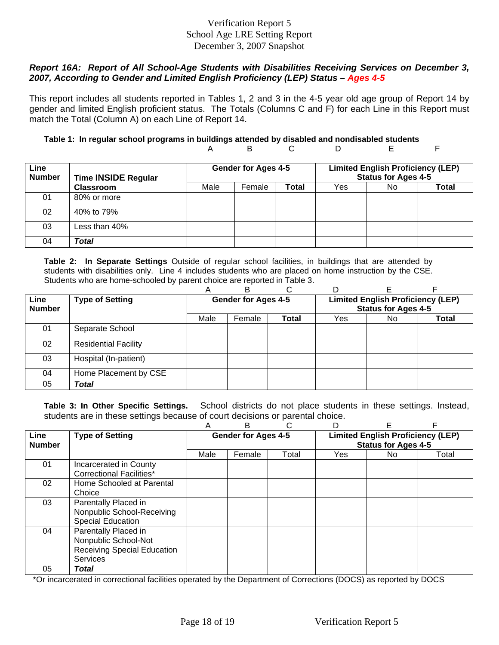#### *Report 16A: Report of All School-Age Students with Disabilities Receiving Services on December 3, 2007, According to Gender and Limited English Proficiency (LEP) Status – Ages 4-5*

This report includes all students reported in Tables 1, 2 and 3 in the 4-5 year old age group of Report 14 by gender and limited English proficient status. The Totals (Columns C and F) for each Line in this Report must match the Total (Column A) on each Line of Report 14.

#### **Table 1: In regular school programs in buildings attended by disabled and nondisabled students**  A B C D E F

| Line<br><b>Number</b> | <b>Time INSIDE Regular</b> |  | <b>Gender for Ages 4-5</b> |       | <b>Limited English Proficiency (LEP)</b><br><b>Status for Ages 4-5</b> |     |              |
|-----------------------|----------------------------|--|----------------------------|-------|------------------------------------------------------------------------|-----|--------------|
|                       | <b>Classroom</b>           |  | Female                     | Total | Yes                                                                    | No. | <b>Total</b> |
| 01                    | 80% or more                |  |                            |       |                                                                        |     |              |
| 02                    | 40% to 79%                 |  |                            |       |                                                                        |     |              |
| 03                    | Less than 40% $\,$         |  |                            |       |                                                                        |     |              |
| 04                    | Total                      |  |                            |       |                                                                        |     |              |

**Table 2: In Separate Settings** Outside of regular school facilities, in buildings that are attended by students with disabilities only. Line 4 includes students who are placed on home instruction by the CSE. Students who are home-schooled by parent choice are reported in Table 3.

|               |                             | A                          | R      |              |                                          |     |       |  |
|---------------|-----------------------------|----------------------------|--------|--------------|------------------------------------------|-----|-------|--|
| Line          | <b>Type of Setting</b>      | <b>Gender for Ages 4-5</b> |        |              | <b>Limited English Proficiency (LEP)</b> |     |       |  |
| <b>Number</b> |                             |                            |        |              | <b>Status for Ages 4-5</b>               |     |       |  |
|               |                             | Male                       | Female | <b>Total</b> | Yes                                      | No. | Total |  |
| 01            | Separate School             |                            |        |              |                                          |     |       |  |
| 02            | <b>Residential Facility</b> |                            |        |              |                                          |     |       |  |
| 03            | Hospital (In-patient)       |                            |        |              |                                          |     |       |  |
| 04            | Home Placement by CSE       |                            |        |              |                                          |     |       |  |
| 05            | Total                       |                            |        |              |                                          |     |       |  |

**Table 3: In Other Specific Settings.** School districts do not place students in these settings. Instead, students are in these settings because of court decisions or parental choice.

|                       |                                                                                                       | Α                          | В      |                                                                        | D          | F   |       |
|-----------------------|-------------------------------------------------------------------------------------------------------|----------------------------|--------|------------------------------------------------------------------------|------------|-----|-------|
| Line<br><b>Number</b> | <b>Type of Setting</b>                                                                                | <b>Gender for Ages 4-5</b> |        | <b>Limited English Proficiency (LEP)</b><br><b>Status for Ages 4-5</b> |            |     |       |
|                       |                                                                                                       | Male                       | Female | Total                                                                  | <b>Yes</b> | No. | Total |
| 01                    | Incarcerated in County<br>Correctional Facilities*                                                    |                            |        |                                                                        |            |     |       |
| 02                    | Home Schooled at Parental<br>Choice                                                                   |                            |        |                                                                        |            |     |       |
| 03                    | Parentally Placed in<br>Nonpublic School-Receiving<br><b>Special Education</b>                        |                            |        |                                                                        |            |     |       |
| 04                    | Parentally Placed in<br>Nonpublic School-Not<br><b>Receiving Special Education</b><br><b>Services</b> |                            |        |                                                                        |            |     |       |
| 05                    | Total                                                                                                 |                            |        |                                                                        |            |     |       |